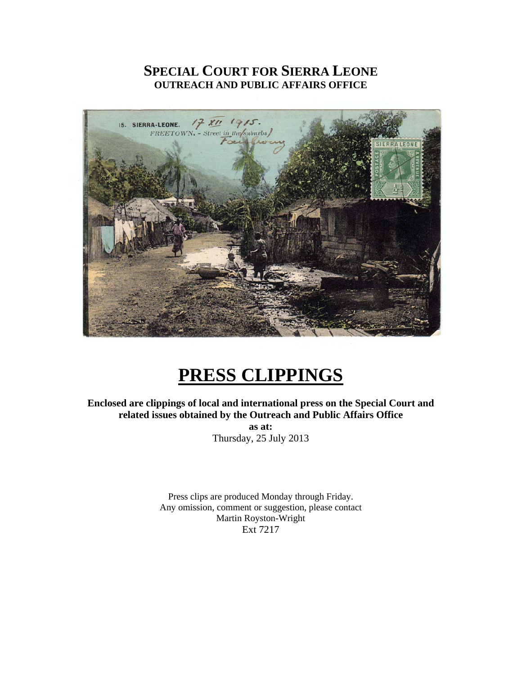## **SPECIAL COURT FOR SIERRA LEONE OUTREACH AND PUBLIC AFFAIRS OFFICE**



# **PRESS CLIPPINGS**

**Enclosed are clippings of local and international press on the Special Court and related issues obtained by the Outreach and Public Affairs Office** 

**as at:**  Thursday, 25 July 2013

Press clips are produced Monday through Friday. Any omission, comment or suggestion, please contact Martin Royston-Wright Ext 7217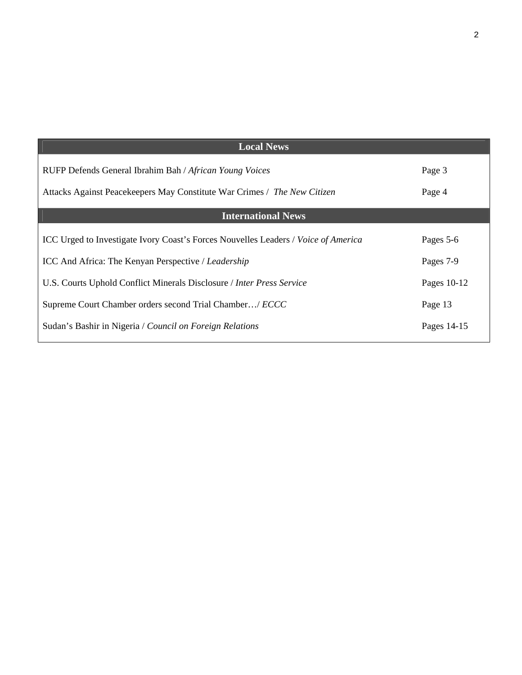| <b>Local News</b>                                                                         |             |
|-------------------------------------------------------------------------------------------|-------------|
| RUFP Defends General Ibrahim Bah / African Young Voices                                   | Page 3      |
| Attacks Against Peacekeepers May Constitute War Crimes / The New Citizen                  | Page 4      |
| <b>International News</b>                                                                 |             |
| ICC Urged to Investigate Ivory Coast's Forces Nouvelles Leaders / <i>Voice of America</i> | Pages 5-6   |
| ICC And Africa: The Kenyan Perspective / Leadership                                       | Pages 7-9   |
| U.S. Courts Uphold Conflict Minerals Disclosure / Inter Press Service                     | Pages 10-12 |
| Supreme Court Chamber orders second Trial Chamber/ <i>ECCC</i>                            | Page 13     |
| Sudan's Bashir in Nigeria / Council on Foreign Relations                                  | Pages 14-15 |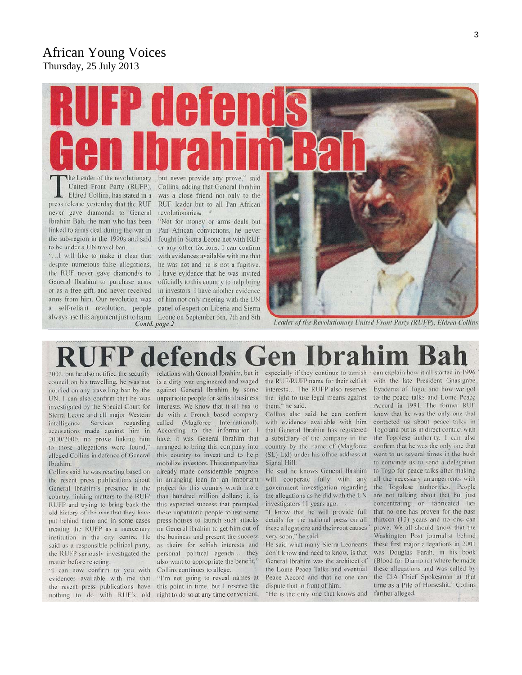#### African Young Voices Thursday, 25 July 2013

# A  $\Gamma$ P The Leader of the revolutionary but never provide any prove," said

United Front Party (RUFP), Eldred Collins, has stated in a press release yesterday that the RUF never gave diamonds to General Ibrahim Bah, the man who has been linked to arms deal during the war in the sub-region in the 1990s and said to be under a UN travel ban.

"...I will like to make it clear that despite numerous false allegations, the RUF never gave diamond/s to General Ibrahim to purchase arms or as a free gift, and never received arms from him. Our revolution was of him not only meeting with the UN a self-reliant revolution, people panel of expert on Liberia and Sierra always use this argument just to harm Leone on September 5th, 7th and 8th Contd. page 2

Collins, adding that General Ibrahim was a close friend not only to the RUF leader but to all Pan African revolutionaries.

"Not for money or arms deals but Pan African convictions, he never fought in Sierra Leone not with RUF or any other factions. I can confirm with evidences available with me that he was not and he is not a fugitive. I have evidence that he was invited officially to this country to help bring in investors. I have another evidence

Leader of the Revolutionary United Front Party (RUFP), Eldred Collins

## defends relations with General Ibrahim, but it especially if they continue to tarnish can explain how it all started in 1996

2002, but he also notified the security council on his travelling, he was not notified on any travelling ban by the UN. I can also confirm that he was investigated by the Special Court for Sierra Leone and all major Western intelligence Services regarding accusations made against him in 2000/2001, no prove linking him to those allegations were found," alleged Collins in defence of General Ibrahim.

Collins said he was reacting based on the resent press publications about General Ibrahim's presence in the country, linking matters to the RUF/ RUFP and trying to bring back the old history of the war that they have put behind them and in some cases treating the RUFP as a mercenary institution in the city centre. He said as a responsible political party, the RUFP seriously investigated the matter before reacting.

"I can now confirm to you with Collins continues to allege. evidences available with me that "I'm not going to reveal names at the resent press publications have this point in time, but I reserve the nothing to do with RUF's old right to do so at any time convenient,

is a dirty war engineered and waged against General Ibrahim by some unpatriotic people for selfish business interests. We know that it all has to do with a French based company called (Magforce International). According to the information I have, it was General Ibrahim that arranged to bring this company into this country to invest and to help mobilize investors. This company has already made considerable progress in arranging loan for an important project for this country worth more than hundred million dollars; it is this expected success that prompted these unpatriotic people to use some press houses to launch such attacks on General Ibrahim to get him out of the business and present the success as theirs for selfish interests and personal political agenda... they also want to appropriate the benefit,"

the right to use legal means against them," he said.

Collins also said he can confirm with evidence available with him that General Ibrahim has registered a subsidiary of the company in the country by the name of (Magforce (SL) Ltd) under his office address at Signal Hill.

He said he knows General Ibrahim will cooperate fully with any government investigation regarding the allegations as he did with the UN investigators 11 years ago.

"I know that he will provide full details for the national press on all these allegations and their root causes very soon," he said.

He said what many Sierra Leoneans don't know and need to know, is that General Ibrahim was the architect of the Lome Peace Talks and eventual Peace Accord and that no one can dispute that in front of him.

"He is the only one that knows and

the RUF/RUFP name for their selfish with the late President Gnasignbe interests... The RUFP also reserves Eyadema of Togo, and how we got to the peace talks and Lome Peace Accord in 1991. The former RUF know that he was the only one that contacted us about peace talks in Togo and put us in direct contact with. the Togolese authority. I can also confirm that he was the only one that went to us several times in the bush to convince us to send a delegation to Togo for peace talks after making all the necessary arrangements with the Togolese authorities. People are not talking about that but just concentrating on fabricated lies that no one has proven for the pass thirteen (13) years and no one can prove. We all should know that the Washington Post journalist behind these first major allegations in 2001 was Douglas Farah, in his book (Blood for Diamond) where he made these allegations and was called by the CIA Chief Spokesman at that time as a Pile of Horseshit," Collins further alleged.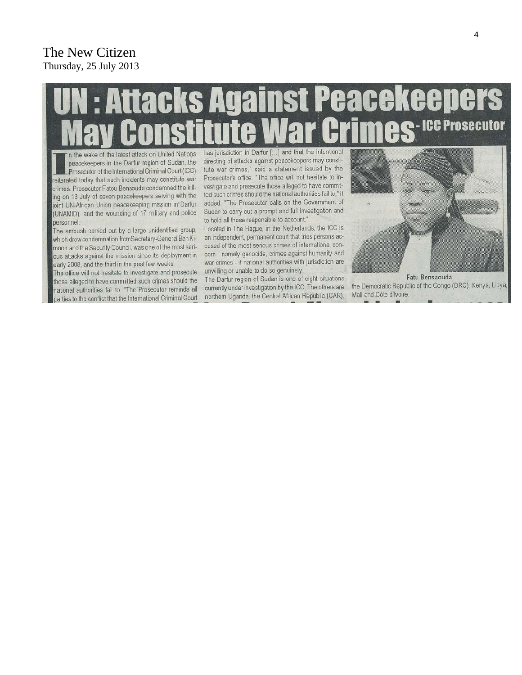#### The New Citizen Thursday, 25 July 2013

# ttacks Against Peacekeeper - ICC Prosecutor

In the wake of the latest attack on United Nations peacekeepers in the Darfur region of Sudan, the Prosecutor of the International Criminal Court (ICC) reiterated today that such incidents may constitute war crimes. Prosecutor Fatou Bensouda condemned the killing on 13 July of seven peacekeepers serving with the joint UN-African Union peacekeeping mission in Darfur (UNAMID), and the wounding of 17 military and police personnel.

The ambush carried out by a large unidentified group, which drew condemnation from Secretary-General Ban Kimoon and the Security Council, was one of the most serious attacks against the mission since its deployment in early 2008, and the third in the past few weeks.

The office will not hesitate to investigate and prosecute those alleged to have committed such crimes should the national authorities fail to. "The Prosecutor reminds all parties to the conflict that the International Criminal Court

has jurisdiction in Darfur [...] and that the intentional directing of attacks against peacekeepers may constitute war crimes," said a statement issued by the Prosecutor's office. "The office will not hesitate to investigate and prosecute those alleged to have committed such crimes should the national authorities fail to," it added. "The Prosecutor calls on the Government of Sudan to carry out a prompt and full investigation and to hold all those responsible to account."

Located in The Hague, in the Netherlands, the ICC is an independent, permanent court that tries persons accused of the most serious crimes of international concern - namely genocide, crimes against humanity and war crimes - if national authorities with jurisdiction are unwilling or unable to do so genuinely.

The Darfur region of Sudan is one of eight situations currently under investigation by the ICC. The others are northem Uganda, the Central African Republic (CAR),



Fatu Bensaouda the Democratic Republic of the Congo (DRC), Kenya, Libya, Mali and Côte d'Ivoire.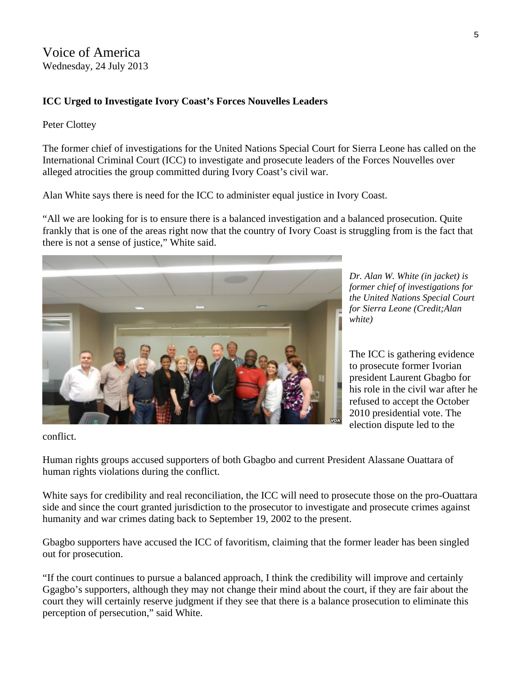#### **ICC Urged to Investigate Ivory Coast's Forces Nouvelles Leaders**

#### Peter Clottey

The former chief of investigations for the United Nations Special Court for Sierra Leone has called on the International Criminal Court (ICC) to investigate and prosecute leaders of the Forces Nouvelles over alleged atrocities the group committed during Ivory Coast's civil war.

Alan White says there is need for the ICC to administer equal justice in Ivory Coast.

"All we are looking for is to ensure there is a balanced investigation and a balanced prosecution. Quite frankly that is one of the areas right now that the country of Ivory Coast is struggling from is the fact that there is not a sense of justice," White said.



*Dr. Alan W. White (in jacket) is former chief of investigations for the United Nations Special Court for Sierra Leone (Credit;Alan white)* 

The ICC is gathering evidence to prosecute former Ivorian president Laurent Gbagbo for his role in the civil war after he refused to accept the October 2010 presidential vote. The election dispute led to the

conflict.

Human rights groups accused supporters of both Gbagbo and current President Alassane Ouattara of human rights violations during the conflict.

White says for credibility and real reconciliation, the ICC will need to prosecute those on the pro-Ouattara side and since the court granted jurisdiction to the prosecutor to investigate and prosecute crimes against humanity and war crimes dating back to September 19, 2002 to the present.

Gbagbo supporters have accused the ICC of favoritism, claiming that the former leader has been singled out for prosecution.

"If the court continues to pursue a balanced approach, I think the credibility will improve and certainly Ggagbo's supporters, although they may not change their mind about the court, if they are fair about the court they will certainly reserve judgment if they see that there is a balance prosecution to eliminate this perception of persecution," said White.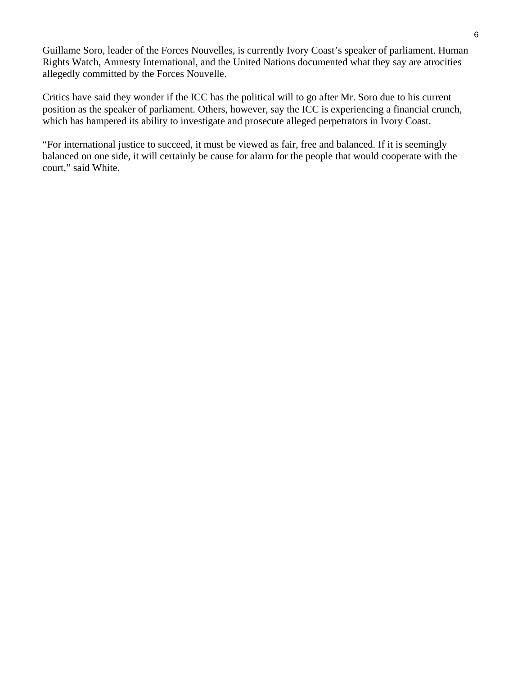Guillame Soro, leader of the Forces Nouvelles, is currently Ivory Coast's speaker of parliament. Human Rights Watch, Amnesty International, and the United Nations documented what they say are atrocities allegedly committed by the Forces Nouvelle.

Critics have said they wonder if the ICC has the political will to go after Mr. Soro due to his current position as the speaker of parliament. Others, however, say the ICC is experiencing a financial crunch, which has hampered its ability to investigate and prosecute alleged perpetrators in Ivory Coast.

"For international justice to succeed, it must be viewed as fair, free and balanced. If it is seemingly balanced on one side, it will certainly be cause for alarm for the people that would cooperate with the court," said White.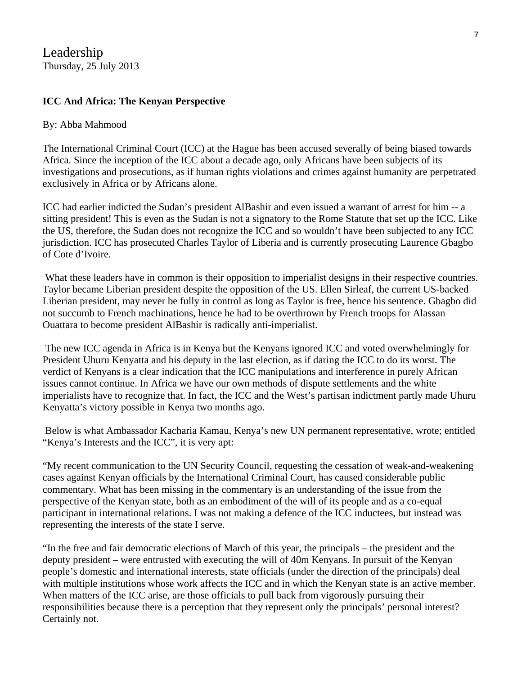Leadership Thursday, 25 July 2013

#### **ICC And Africa: The Kenyan Perspective**

#### By: Abba Mahmood

The International Criminal Court (ICC) at the Hague has been accused severally of being biased towards Africa. Since the inception of the ICC about a decade ago, only Africans have been subjects of its investigations and prosecutions, as if human rights violations and crimes against humanity are perpetrated exclusively in Africa or by Africans alone.

ICC had earlier indicted the Sudan's president AlBashir and even issued a warrant of arrest for him -- a sitting president! This is even as the Sudan is not a signatory to the Rome Statute that set up the ICC. Like the US, therefore, the Sudan does not recognize the ICC and so wouldn't have been subjected to any ICC jurisdiction. ICC has prosecuted Charles Taylor of Liberia and is currently prosecuting Laurence Gbagbo of Cote d'Ivoire.

What these leaders have in common is their opposition to imperialist designs in their respective countries. Taylor became Liberian president despite the opposition of the US. Ellen Sirleaf, the current US-backed Liberian president, may never be fully in control as long as Taylor is free, hence his sentence. Gbagbo did not succumb to French machinations, hence he had to be overthrown by French troops for Alassan Ouattara to become president AlBashir is radically anti-imperialist.

The new ICC agenda in Africa is in Kenya but the Kenyans ignored ICC and voted overwhelmingly for President Uhuru Kenyatta and his deputy in the last election, as if daring the ICC to do its worst. The verdict of Kenyans is a clear indication that the ICC manipulations and interference in purely African issues cannot continue. In Africa we have our own methods of dispute settlements and the white imperialists have to recognize that. In fact, the ICC and the West's partisan indictment partly made Uhuru Kenyatta's victory possible in Kenya two months ago.

 Below is what Ambassador Kacharia Kamau, Kenya's new UN permanent representative, wrote; entitled "Kenya's Interests and the ICC", it is very apt:

"My recent communication to the UN Security Council, requesting the cessation of weak-and-weakening cases against Kenyan officials by the International Criminal Court, has caused considerable public commentary. What has been missing in the commentary is an understanding of the issue from the perspective of the Kenyan state, both as an embodiment of the will of its people and as a co-equal participant in international relations. I was not making a defence of the ICC inductees, but instead was representing the interests of the state I serve.

"In the free and fair democratic elections of March of this year, the principals – the president and the deputy president – were entrusted with executing the will of 40m Kenyans. In pursuit of the Kenyan people's domestic and international interests, state officials (under the direction of the principals) deal with multiple institutions whose work affects the ICC and in which the Kenyan state is an active member. When matters of the ICC arise, are those officials to pull back from vigorously pursuing their responsibilities because there is a perception that they represent only the principals' personal interest? Certainly not.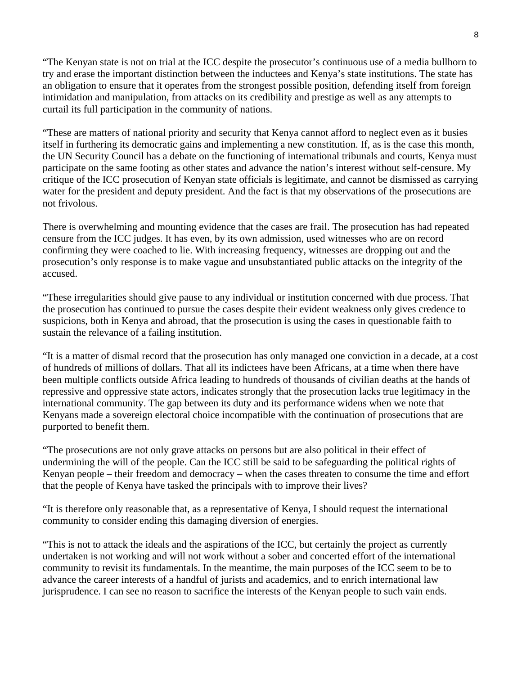"The Kenyan state is not on trial at the ICC despite the prosecutor's continuous use of a media bullhorn to try and erase the important distinction between the inductees and Kenya's state institutions. The state has an obligation to ensure that it operates from the strongest possible position, defending itself from foreign intimidation and manipulation, from attacks on its credibility and prestige as well as any attempts to curtail its full participation in the community of nations.

"These are matters of national priority and security that Kenya cannot afford to neglect even as it busies itself in furthering its democratic gains and implementing a new constitution. If, as is the case this month, the UN Security Council has a debate on the functioning of international tribunals and courts, Kenya must participate on the same footing as other states and advance the nation's interest without self-censure. My critique of the ICC prosecution of Kenyan state officials is legitimate, and cannot be dismissed as carrying water for the president and deputy president. And the fact is that my observations of the prosecutions are not frivolous.

There is overwhelming and mounting evidence that the cases are frail. The prosecution has had repeated censure from the ICC judges. It has even, by its own admission, used witnesses who are on record confirming they were coached to lie. With increasing frequency, witnesses are dropping out and the prosecution's only response is to make vague and unsubstantiated public attacks on the integrity of the accused.

"These irregularities should give pause to any individual or institution concerned with due process. That the prosecution has continued to pursue the cases despite their evident weakness only gives credence to suspicions, both in Kenya and abroad, that the prosecution is using the cases in questionable faith to sustain the relevance of a failing institution.

"It is a matter of dismal record that the prosecution has only managed one conviction in a decade, at a cost of hundreds of millions of dollars. That all its indictees have been Africans, at a time when there have been multiple conflicts outside Africa leading to hundreds of thousands of civilian deaths at the hands of repressive and oppressive state actors, indicates strongly that the prosecution lacks true legitimacy in the international community. The gap between its duty and its performance widens when we note that Kenyans made a sovereign electoral choice incompatible with the continuation of prosecutions that are purported to benefit them.

"The prosecutions are not only grave attacks on persons but are also political in their effect of undermining the will of the people. Can the ICC still be said to be safeguarding the political rights of Kenyan people – their freedom and democracy – when the cases threaten to consume the time and effort that the people of Kenya have tasked the principals with to improve their lives?

"It is therefore only reasonable that, as a representative of Kenya, I should request the international community to consider ending this damaging diversion of energies.

"This is not to attack the ideals and the aspirations of the ICC, but certainly the project as currently undertaken is not working and will not work without a sober and concerted effort of the international community to revisit its fundamentals. In the meantime, the main purposes of the ICC seem to be to advance the career interests of a handful of jurists and academics, and to enrich international law jurisprudence. I can see no reason to sacrifice the interests of the Kenyan people to such vain ends.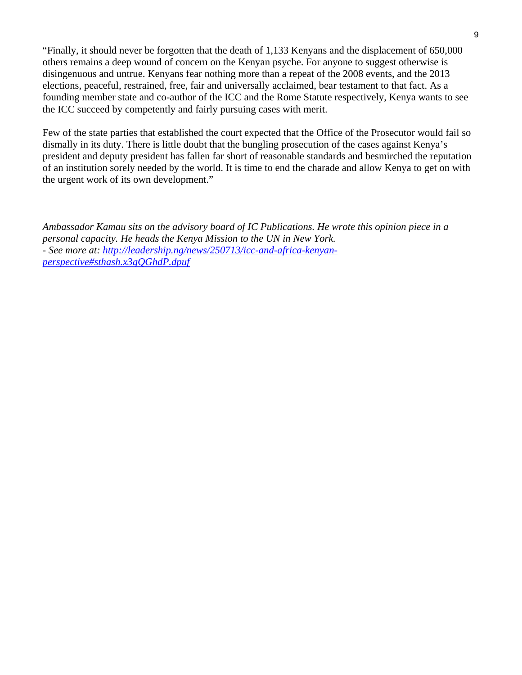"Finally, it should never be forgotten that the death of 1,133 Kenyans and the displacement of 650,000 others remains a deep wound of concern on the Kenyan psyche. For anyone to suggest otherwise is disingenuous and untrue. Kenyans fear nothing more than a repeat of the 2008 events, and the 2013 elections, peaceful, restrained, free, fair and universally acclaimed, bear testament to that fact. As a founding member state and co-author of the ICC and the Rome Statute respectively, Kenya wants to see the ICC succeed by competently and fairly pursuing cases with merit.

Few of the state parties that established the court expected that the Office of the Prosecutor would fail so dismally in its duty. There is little doubt that the bungling prosecution of the cases against Kenya's president and deputy president has fallen far short of reasonable standards and besmirched the reputation of an institution sorely needed by the world. It is time to end the charade and allow Kenya to get on with the urgent work of its own development."

*Ambassador Kamau sits on the advisory board of IC Publications. He wrote this opinion piece in a personal capacity. He heads the Kenya Mission to the UN in New York. - See more at: [http://leadership.ng/news/250713/icc-and-africa-kenyan](http://leadership.ng/news/250713/icc-and-africa-kenyan-perspective#sthash.x3gQGhdP.dpuf)[perspective#sthash.x3gQGhdP.dpuf](http://leadership.ng/news/250713/icc-and-africa-kenyan-perspective#sthash.x3gQGhdP.dpuf)*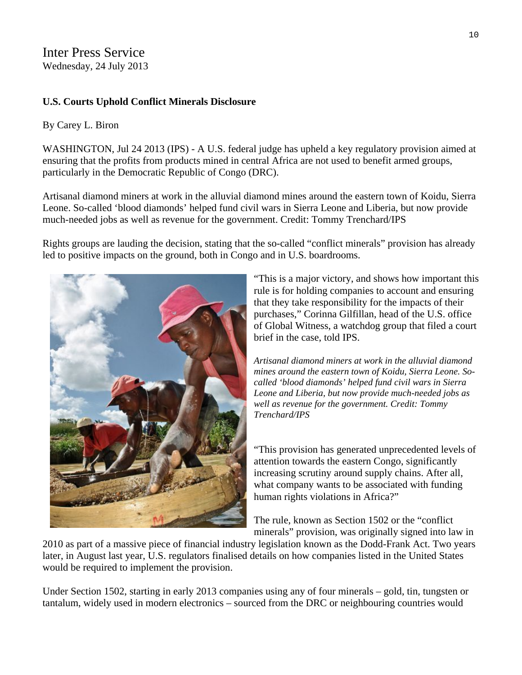Inter Press Service Wednesday, 24 July 2013

#### **U.S. Courts Uphold Conflict Minerals Disclosure**

#### By [Carey L. Biron](http://www.ipsnews.net/author/carey-l-biron/)

WASHINGTON, Jul 24 2013 (IPS) - A U.S. federal judge has upheld a key regulatory provision aimed at ensuring that the profits from products mined in central Africa are not used to benefit armed groups, particularly in the Democratic Republic of Congo (DRC).

Artisanal diamond miners at work in the alluvial diamond mines around the eastern town of Koidu, Sierra Leone. So-called 'blood diamonds' helped fund civil wars in Sierra Leone and Liberia, but now provide much-needed jobs as well as revenue for the government. Credit: Tommy Trenchard/IPS

Rights groups are lauding the decision, stating that the so-called "conflict minerals" provision has already led to positive impacts on the ground, both in Congo and in U.S. boardrooms.



"This is a major victory, and shows how important this rule is for holding companies to account and ensuring that they take responsibility for the impacts of their purchases," Corinna Gilfillan, head of the U.S. office of Global Witness, a watchdog group that filed a court brief in the case, told IPS.

*Artisanal diamond miners at work in the alluvial diamond mines around the eastern town of Koidu, Sierra Leone. Socalled 'blood diamonds' helped fund civil wars in Sierra Leone and Liberia, but now provide much-needed jobs as well as revenue for the government. Credit: Tommy Trenchard/IPS* 

"This provision has generated unprecedented levels of attention towards the eastern Congo, significantly increasing scrutiny around supply chains. After all, what company wants to be associated with funding human rights violations in Africa?"

The rule, known as Section 1502 or the "conflict minerals" provision, was originally signed into law in

2010 as part of a massive piece of financial industry legislation known as the Dodd-Frank Act. Two years later, in August last year, U.S. regulators finalised details on how companies listed in the United States would be required to implement the provision.

Under Section 1502, starting in early 2013 companies using any of four minerals – gold, tin, tungsten or tantalum, widely used in modern electronics – sourced from the DRC or neighbouring countries would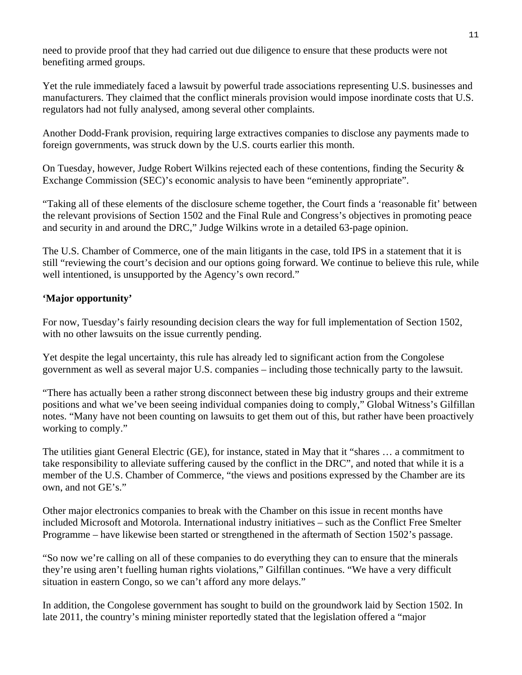need to provide proof that they had carried out due diligence to ensure that these products were not benefiting armed groups.

Yet the rule immediately faced a lawsuit by powerful trade associations representing U.S. businesses and manufacturers. They claimed that the conflict minerals provision would impose inordinate costs that U.S. regulators had not fully analysed, among several other complaints.

Another Dodd-Frank provision, requiring large extractives companies to disclose any payments made to foreign governments, was struck down by the U.S. courts earlier this month.

On Tuesday, however, Judge Robert Wilkins rejected each of these contentions, finding the Security & Exchange Commission (SEC)'s economic analysis to have been "eminently appropriate".

"Taking all of these elements of the disclosure scheme together, the Court finds a 'reasonable fit' between the relevant provisions of Section 1502 and the Final Rule and Congress's objectives in promoting peace and security in and around the DRC," Judge Wilkins wrote in a detailed 63-page [opinion](https://ecf.dcd.uscourts.gov/cgi-bin/show_public_doc?2013cv0635-37).

The U.S. Chamber of Commerce, one of the main litigants in the case, told IPS in a statement that it is still "reviewing the court's decision and our options going forward. We continue to believe this rule, while well intentioned, is unsupported by the Agency's own record."

#### **'Major opportunity'**

For now, Tuesday's fairly resounding decision clears the way for full implementation of Section 1502, with no other lawsuits on the issue currently pending.

Yet despite the legal uncertainty, this rule has already led to significant action from the Congolese government as well as several major U.S. companies – including those technically party to the lawsuit.

"There has actually been a rather strong disconnect between these big industry groups and their extreme positions and what we've been seeing individual companies doing to comply," Global Witness's Gilfillan notes. "Many have not been counting on lawsuits to get them out of this, but rather have been proactively working to comply."

The utilities giant General Electric (GE), for instance, [stated](http://www.business-humanrights.org/media/documents/company_responses/ge-re-conflict-minerals-22-may-2012.pdf) in May that it "shares … a commitment to take responsibility to alleviate suffering caused by the conflict in the DRC", and noted that while it is a member of the U.S. Chamber of Commerce, "the views and positions expressed by the Chamber are its own, and not GE's."

Other major electronics companies to break with the Chamber on this issue in recent months have included Microsoft and Motorola. International industry initiatives – such as the Conflict Free Smelter Programme – have likewise been started or strengthened in the aftermath of Section 1502's passage.

"So now we're calling on all of these companies to do everything they can to ensure that the minerals they're using aren't fuelling human rights violations," Gilfillan continues. "We have a very difficult situation in eastern Congo, so we can't afford any more delays."

In addition, the Congolese government has sought to build on the groundwork laid by Section 1502. In late 2011, the country's mining minister reportedly stated that the legislation offered a "major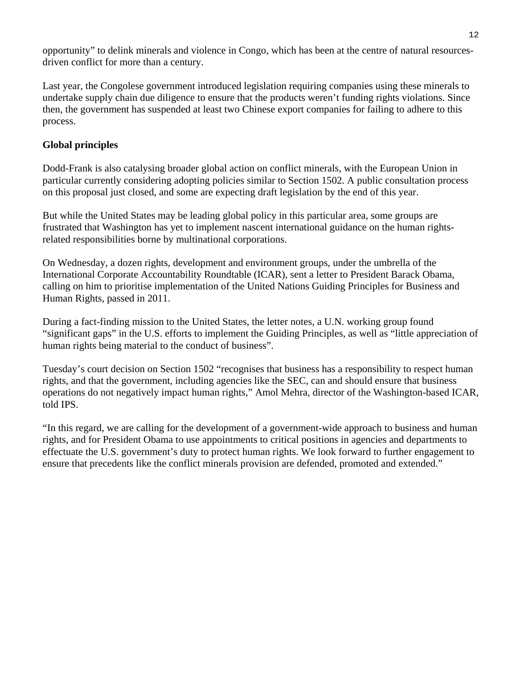opportunity" to delink minerals and violence in Congo, which has been at the centre of natural resourcesdriven conflict for more than a century.

Last year, the Congolese government introduced legislation requiring companies using these minerals to undertake supply chain due diligence to ensure that the products weren't funding rights violations. Since then, the government has suspended at least two Chinese export companies for failing to adhere to this process.

#### **Global principles**

Dodd-Frank is also catalysing broader global action on conflict minerals, with the European Union in particular currently considering adopting policies similar to Section 1502. A public consultation process on this proposal just closed, and some are expecting draft legislation by the end of this year.

But while the United States may be leading global policy in this particular area, some groups are frustrated that Washington has yet to implement nascent international guidance on the human rightsrelated responsibilities borne by multinational corporations.

On Wednesday, a dozen rights, development and environment groups, under the umbrella of the International Corporate Accountability Roundtable (ICAR), sent a letter to President Barack Obama, calling on him to prioritise implementation of the United Nations Guiding Principles for Business and Human Rights, passed in 2011.

During a fact-finding mission to the United States, the letter notes, a U.N. working group found "significant gaps" in the U.S. efforts to implement the Guiding Principles, as well as "little appreciation of human rights being material to the conduct of business".

Tuesday's court decision on Section 1502 "recognises that business has a responsibility to respect human rights, and that the government, including agencies like the SEC, can and should ensure that business operations do not negatively impact human rights," Amol Mehra, director of the Washington-based ICAR, told IPS.

"In this regard, we are calling for the development of a government-wide approach to business and human rights, and for President Obama to use appointments to critical positions in agencies and departments to effectuate the U.S. government's duty to protect human rights. We look forward to further engagement to ensure that precedents like the conflict minerals provision are defended, promoted and extended."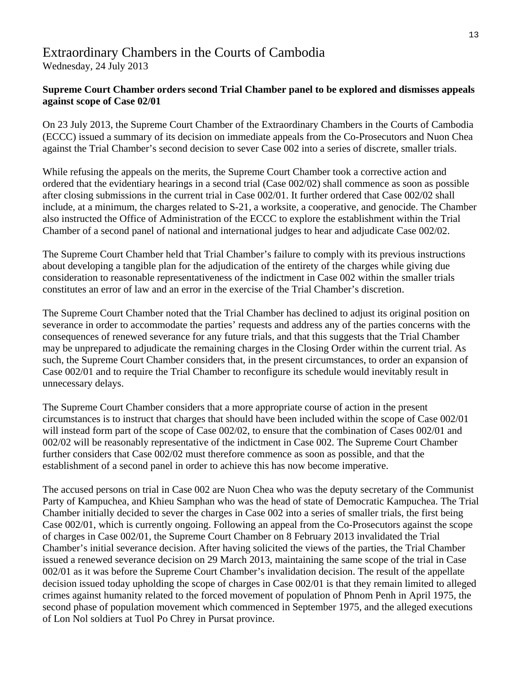### Extraordinary Chambers in the Courts of Cambodia

Wednesday, 24 July 2013

#### **Supreme Court Chamber orders second Trial Chamber panel to be explored and dismisses appeals against scope of Case 02/01**

On 23 July 2013, the Supreme Court Chamber of the Extraordinary Chambers in the Courts of Cambodia (ECCC) issued a summary of its decision on immediate appeals from the Co-Prosecutors and Nuon Chea against the Trial Chamber's second decision to sever Case 002 into a series of discrete, smaller trials.

While refusing the appeals on the merits, the Supreme Court Chamber took a corrective action and ordered that the evidentiary hearings in a second trial (Case 002/02) shall commence as soon as possible after closing submissions in the current trial in Case 002/01. It further ordered that Case 002/02 shall include, at a minimum, the charges related to S-21, a worksite, a cooperative, and genocide. The Chamber also instructed the Office of Administration of the ECCC to explore the establishment within the Trial Chamber of a second panel of national and international judges to hear and adjudicate Case 002/02.

The Supreme Court Chamber held that Trial Chamber's failure to comply with its previous instructions about developing a tangible plan for the adjudication of the entirety of the charges while giving due consideration to reasonable representativeness of the indictment in Case 002 within the smaller trials constitutes an error of law and an error in the exercise of the Trial Chamber's discretion.

The Supreme Court Chamber noted that the Trial Chamber has declined to adjust its original position on severance in order to accommodate the parties' requests and address any of the parties concerns with the consequences of renewed severance for any future trials, and that this suggests that the Trial Chamber may be unprepared to adjudicate the remaining charges in the Closing Order within the current trial. As such, the Supreme Court Chamber considers that, in the present circumstances, to order an expansion of Case 002/01 and to require the Trial Chamber to reconfigure its schedule would inevitably result in unnecessary delays.

The Supreme Court Chamber considers that a more appropriate course of action in the present circumstances is to instruct that charges that should have been included within the scope of Case 002/01 will instead form part of the scope of Case 002/02, to ensure that the combination of Cases 002/01 and 002/02 will be reasonably representative of the indictment in Case 002. The Supreme Court Chamber further considers that Case 002/02 must therefore commence as soon as possible, and that the establishment of a second panel in order to achieve this has now become imperative.

The accused persons on trial in Case 002 are Nuon Chea who was the deputy secretary of the Communist Party of Kampuchea, and Khieu Samphan who was the head of state of Democratic Kampuchea. The Trial Chamber initially decided to sever the charges in Case 002 into a series of smaller trials, the first being Case 002/01, which is currently ongoing. Following an appeal from the Co-Prosecutors against the scope of charges in Case 002/01, the Supreme Court Chamber on 8 February 2013 invalidated the Trial Chamber's initial severance decision. After having solicited the views of the parties, the Trial Chamber issued a renewed severance decision on 29 March 2013, maintaining the same scope of the trial in Case 002/01 as it was before the Supreme Court Chamber's invalidation decision. The result of the appellate decision issued today upholding the scope of charges in Case 002/01 is that they remain limited to alleged crimes against humanity related to the forced movement of population of Phnom Penh in April 1975, the second phase of population movement which commenced in September 1975, and the alleged executions of Lon Nol soldiers at Tuol Po Chrey in Pursat province.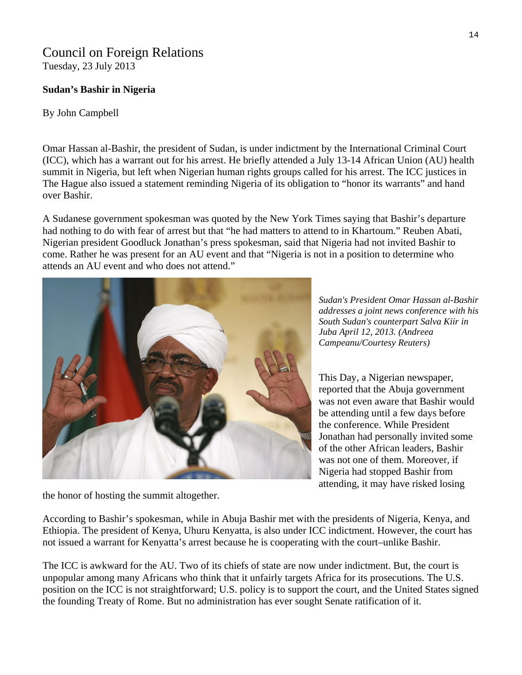#### Council on Foreign Relations Tuesday, 23 July 2013

#### **Sudan's Bashir in Nigeria**

By John Campbell

Omar Hassan al-Bashir, the president of Sudan, is under indictment by the International Criminal Court (ICC), which has a warrant out for his arrest. He briefly attended a July 13-14 African Union (AU) health summit in Nigeria, but left when Nigerian human rights groups called for his arrest. The ICC justices in The Hague also issued a statement reminding Nigeria of its obligation to "honor its warrants" and hand over Bashir.

A Sudanese government spokesman was quoted by the New York Times saying that Bashir's departure had nothing to do with fear of arrest but that "he had matters to attend to in Khartoum." Reuben Abati, Nigerian president Goodluck Jonathan's press spokesman, said that Nigeria had not invited Bashir to come. Rather he was present for an AU event and that "Nigeria is not in a position to determine who attends an AU event and who does not attend."



*ashir Sudan's President Omar Hassan al-B addresses a joint news conference with his South Sudan's counterpart Salva Kiir in Juba April 12, 2013. (Andreea Campeanu/Courtesy Reuters)* 

This Day, a Nigerian newspaper, reported that the Abuja government was not even aware that Bashir would be attending until a few days before the conference. While President Jonathan had personally invited some of the other African leaders, Bashir was not one of them. Moreover, if Nigeria had stopped Bashir from attending, it may have risked losing

the honor of hosting the summit altogether.

According to Bashir's spokesman, while in Abuja Bashir met with the presidents of Nigeria, Kenya, and Ethiopia. The president of Kenya, Uhuru Kenyatta, is also under ICC indictment. However, the court has not issued a warrant for Kenyatta's arrest because he is cooperating with the court–unlike Bashir.

The ICC is awkward for the AU. Two of its chiefs of state are now under indictment. But, the court is unpopular among many Africans who think that it unfairly targets Africa for its prosecutions. The U.S. position on the ICC is not straightforward; U.S. policy is to support the court, and the United States signed the founding Treaty of Rome. But no administration has ever sought Senate ratification of it.